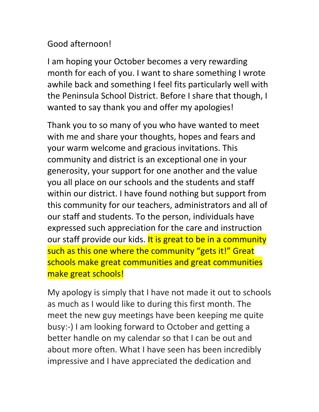## Good afternoon!

I am hoping your October becomes a very rewarding month for each of you. I want to share something I wrote awhile back and something I feel fits particularly well with the Peninsula School District. Before I share that though, I wanted to say thank you and offer my apologies!

Thank you to so many of you who have wanted to meet with me and share your thoughts, hopes and fears and your warm welcome and gracious invitations. This community and district is an exceptional one in your generosity, your support for one another and the value you all place on our schools and the students and staff within our district. I have found nothing but support from this community for our teachers, administrators and all of our staff and students. To the person, individuals have expressed such appreciation for the care and instruction our staff provide our kids. It is great to be in a community such as this one where the community "gets it!" Great schools make great communities and great communities make great schools!

My apology is simply that I have not made it out to schools as much as I would like to during this first month. The meet the new guy meetings have been keeping me quite busy:-) I am looking forward to October and getting a better handle on my calendar so that I can be out and about more often. What I have seen has been incredibly impressive and I have appreciated the dedication and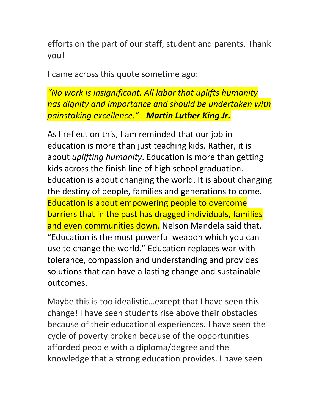efforts on the part of our staff, student and parents. Thank you!

I came across this quote sometime ago:

*"No work is insignificant. All labor that uplifts humanity*  has dignity and importance and should be undertaken with *painstaking excellence." - Martin Luther King Jr.*

As I reflect on this, I am reminded that our job in education is more than just teaching kids. Rather, it is about *uplifting humanity*. Education is more than getting kids across the finish line of high school graduation. Education is about changing the world. It is about changing the destiny of people, families and generations to come. Education is about empowering people to overcome barriers that in the past has dragged individuals, families and even communities down. Nelson Mandela said that, "Education is the most powerful weapon which you can use to change the world." Education replaces war with tolerance, compassion and understanding and provides solutions that can have a lasting change and sustainable outcomes.

Maybe this is too idealistic...except that I have seen this change! I have seen students rise above their obstacles because of their educational experiences. I have seen the cycle of poverty broken because of the opportunities afforded people with a diploma/degree and the knowledge that a strong education provides. I have seen